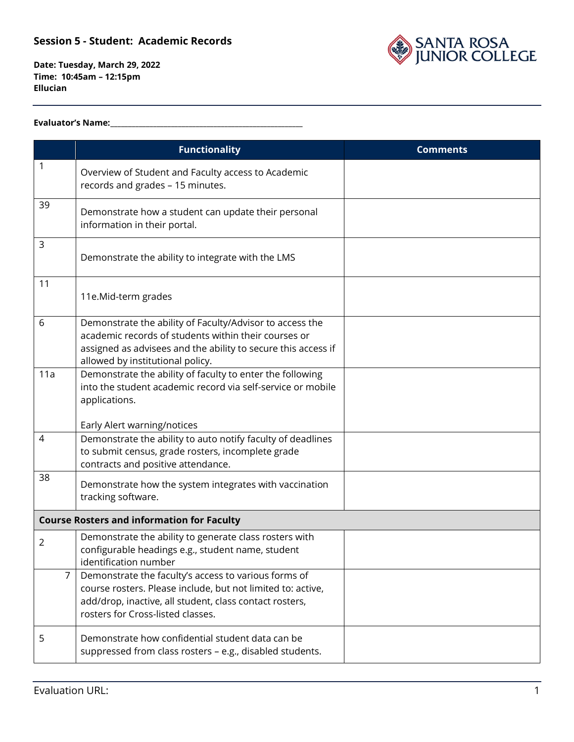

**Date: Tuesday, March 29, 2022 Time: 10:45am – 12:15pm Ellucian**

#### **Evaluator's Name:\_\_\_\_\_\_\_\_\_\_\_\_\_\_\_\_\_\_\_\_\_\_\_\_\_\_\_\_\_\_\_\_\_\_\_\_\_\_\_\_\_\_\_\_\_\_\_\_\_\_\_\_\_\_**

|                | <b>Functionality</b>                                                                                                                                                                                                  | <b>Comments</b> |
|----------------|-----------------------------------------------------------------------------------------------------------------------------------------------------------------------------------------------------------------------|-----------------|
| 1              | Overview of Student and Faculty access to Academic<br>records and grades - 15 minutes.                                                                                                                                |                 |
| 39             | Demonstrate how a student can update their personal<br>information in their portal.                                                                                                                                   |                 |
| 3              | Demonstrate the ability to integrate with the LMS                                                                                                                                                                     |                 |
| 11             | 11e.Mid-term grades                                                                                                                                                                                                   |                 |
| 6              | Demonstrate the ability of Faculty/Advisor to access the<br>academic records of students within their courses or<br>assigned as advisees and the ability to secure this access if<br>allowed by institutional policy. |                 |
| 11a            | Demonstrate the ability of faculty to enter the following<br>into the student academic record via self-service or mobile<br>applications.<br>Early Alert warning/notices                                              |                 |
| 4              | Demonstrate the ability to auto notify faculty of deadlines<br>to submit census, grade rosters, incomplete grade<br>contracts and positive attendance.                                                                |                 |
| 38             | Demonstrate how the system integrates with vaccination<br>tracking software.                                                                                                                                          |                 |
|                | <b>Course Rosters and information for Faculty</b>                                                                                                                                                                     |                 |
| $\overline{2}$ | Demonstrate the ability to generate class rosters with<br>configurable headings e.g., student name, student<br>identification number                                                                                  |                 |
| $\overline{7}$ | Demonstrate the faculty's access to various forms of<br>course rosters. Please include, but not limited to: active,<br>add/drop, inactive, all student, class contact rosters,<br>rosters for Cross-listed classes.   |                 |
| 5              | Demonstrate how confidential student data can be<br>suppressed from class rosters - e.g., disabled students.                                                                                                          |                 |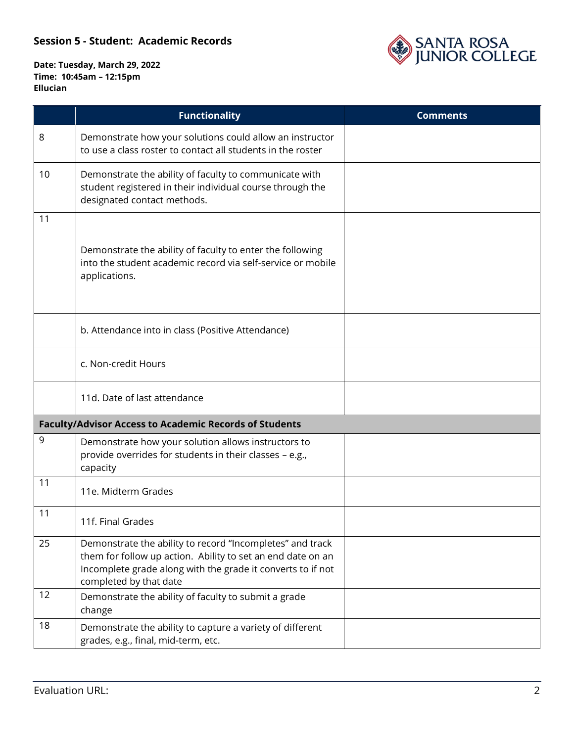

|    | <b>Functionality</b>                                                                                                                                                                                              | <b>Comments</b> |
|----|-------------------------------------------------------------------------------------------------------------------------------------------------------------------------------------------------------------------|-----------------|
| 8  | Demonstrate how your solutions could allow an instructor<br>to use a class roster to contact all students in the roster                                                                                           |                 |
| 10 | Demonstrate the ability of faculty to communicate with<br>student registered in their individual course through the<br>designated contact methods.                                                                |                 |
| 11 |                                                                                                                                                                                                                   |                 |
|    | Demonstrate the ability of faculty to enter the following<br>into the student academic record via self-service or mobile<br>applications.                                                                         |                 |
|    | b. Attendance into in class (Positive Attendance)                                                                                                                                                                 |                 |
|    | c. Non-credit Hours                                                                                                                                                                                               |                 |
|    | 11d. Date of last attendance                                                                                                                                                                                      |                 |
|    | <b>Faculty/Advisor Access to Academic Records of Students</b>                                                                                                                                                     |                 |
| 9  | Demonstrate how your solution allows instructors to<br>provide overrides for students in their classes - e.g.,<br>capacity                                                                                        |                 |
| 11 | 11e. Midterm Grades                                                                                                                                                                                               |                 |
| 11 | 11f. Final Grades                                                                                                                                                                                                 |                 |
| 25 | Demonstrate the ability to record "Incompletes" and track<br>them for follow up action. Ability to set an end date on an<br>Incomplete grade along with the grade it converts to if not<br>completed by that date |                 |
| 12 | Demonstrate the ability of faculty to submit a grade<br>change                                                                                                                                                    |                 |
| 18 | Demonstrate the ability to capture a variety of different<br>grades, e.g., final, mid-term, etc.                                                                                                                  |                 |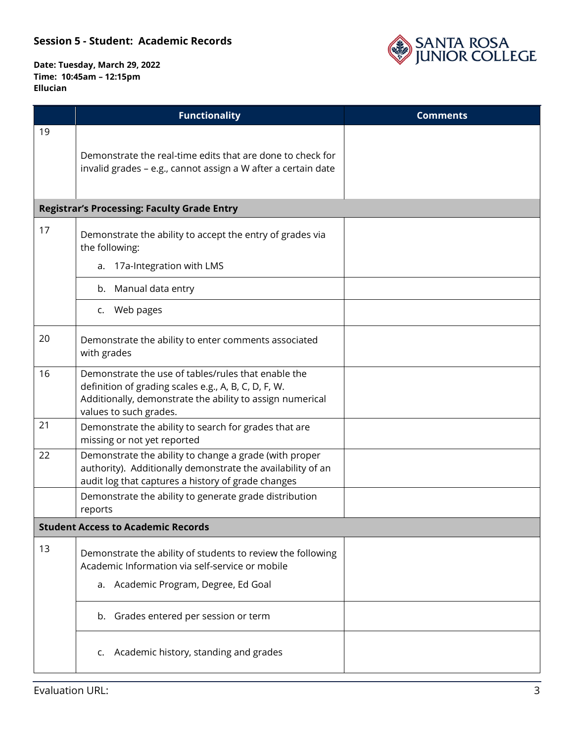

|    | <b>Functionality</b>                                                                                                                                                                               | <b>Comments</b> |
|----|----------------------------------------------------------------------------------------------------------------------------------------------------------------------------------------------------|-----------------|
| 19 | Demonstrate the real-time edits that are done to check for<br>invalid grades - e.g., cannot assign a W after a certain date                                                                        |                 |
|    | <b>Registrar's Processing: Faculty Grade Entry</b>                                                                                                                                                 |                 |
| 17 | Demonstrate the ability to accept the entry of grades via<br>the following:<br>a. 17a-Integration with LMS                                                                                         |                 |
|    | b. Manual data entry                                                                                                                                                                               |                 |
|    | c. Web pages                                                                                                                                                                                       |                 |
| 20 | Demonstrate the ability to enter comments associated<br>with grades                                                                                                                                |                 |
| 16 | Demonstrate the use of tables/rules that enable the<br>definition of grading scales e.g., A, B, C, D, F, W.<br>Additionally, demonstrate the ability to assign numerical<br>values to such grades. |                 |
| 21 | Demonstrate the ability to search for grades that are<br>missing or not yet reported                                                                                                               |                 |
| 22 | Demonstrate the ability to change a grade (with proper<br>authority). Additionally demonstrate the availability of an<br>audit log that captures a history of grade changes                        |                 |
|    | Demonstrate the ability to generate grade distribution<br>reports                                                                                                                                  |                 |
|    | <b>Student Access to Academic Records</b>                                                                                                                                                          |                 |
| 13 | Demonstrate the ability of students to review the following<br>Academic Information via self-service or mobile<br>a. Academic Program, Degree, Ed Goal                                             |                 |
|    | b. Grades entered per session or term                                                                                                                                                              |                 |
|    | Academic history, standing and grades<br>c.                                                                                                                                                        |                 |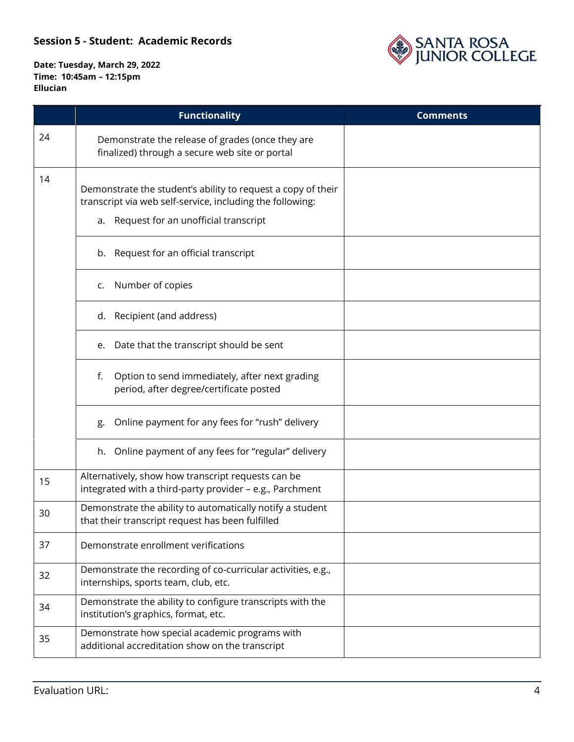

|    | <b>Functionality</b>                                                                                                                                                 | <b>Comments</b> |
|----|----------------------------------------------------------------------------------------------------------------------------------------------------------------------|-----------------|
| 24 | Demonstrate the release of grades (once they are<br>finalized) through a secure web site or portal                                                                   |                 |
| 14 | Demonstrate the student's ability to request a copy of their<br>transcript via web self-service, including the following:<br>a. Request for an unofficial transcript |                 |
|    | b. Request for an official transcript                                                                                                                                |                 |
|    | c. Number of copies                                                                                                                                                  |                 |
|    | d. Recipient (and address)                                                                                                                                           |                 |
|    | Date that the transcript should be sent<br>e.                                                                                                                        |                 |
|    | Option to send immediately, after next grading<br>f.<br>period, after degree/certificate posted                                                                      |                 |
|    | Online payment for any fees for "rush" delivery<br>g.                                                                                                                |                 |
|    | h. Online payment of any fees for "regular" delivery                                                                                                                 |                 |
| 15 | Alternatively, show how transcript requests can be<br>integrated with a third-party provider - e.g., Parchment                                                       |                 |
| 30 | Demonstrate the ability to automatically notify a student<br>that their transcript request has been fulfilled                                                        |                 |
| 37 | Demonstrate enrollment verifications                                                                                                                                 |                 |
| 32 | Demonstrate the recording of co-curricular activities, e.g.,<br>internships, sports team, club, etc.                                                                 |                 |
| 34 | Demonstrate the ability to configure transcripts with the<br>institution's graphics, format, etc.                                                                    |                 |
| 35 | Demonstrate how special academic programs with<br>additional accreditation show on the transcript                                                                    |                 |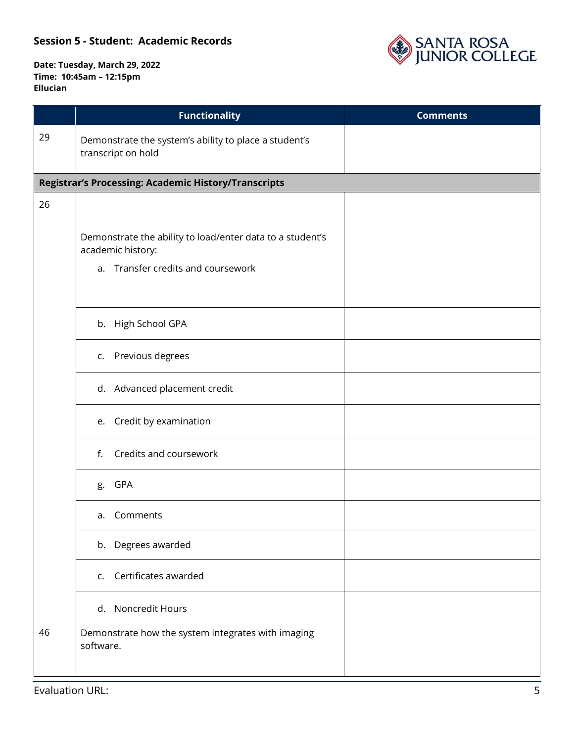

|    |                                                                                | <b>Functionality</b>                                                        | <b>Comments</b> |
|----|--------------------------------------------------------------------------------|-----------------------------------------------------------------------------|-----------------|
| 29 |                                                                                | Demonstrate the system's ability to place a student's<br>transcript on hold |                 |
|    |                                                                                | Registrar's Processing: Academic History/Transcripts                        |                 |
| 26 |                                                                                |                                                                             |                 |
|    | Demonstrate the ability to load/enter data to a student's<br>academic history: |                                                                             |                 |
|    |                                                                                | a. Transfer credits and coursework                                          |                 |
|    |                                                                                | b. High School GPA                                                          |                 |
|    |                                                                                | c. Previous degrees                                                         |                 |
|    |                                                                                | d. Advanced placement credit                                                |                 |
|    |                                                                                | e. Credit by examination                                                    |                 |
|    | f.                                                                             | Credits and coursework                                                      |                 |
|    | g.                                                                             | GPA                                                                         |                 |
|    | а.                                                                             | Comments                                                                    |                 |
|    |                                                                                | b. Degrees awarded                                                          |                 |
|    |                                                                                | c. Certificates awarded                                                     |                 |
|    |                                                                                | d. Noncredit Hours                                                          |                 |
| 46 | software.                                                                      | Demonstrate how the system integrates with imaging                          |                 |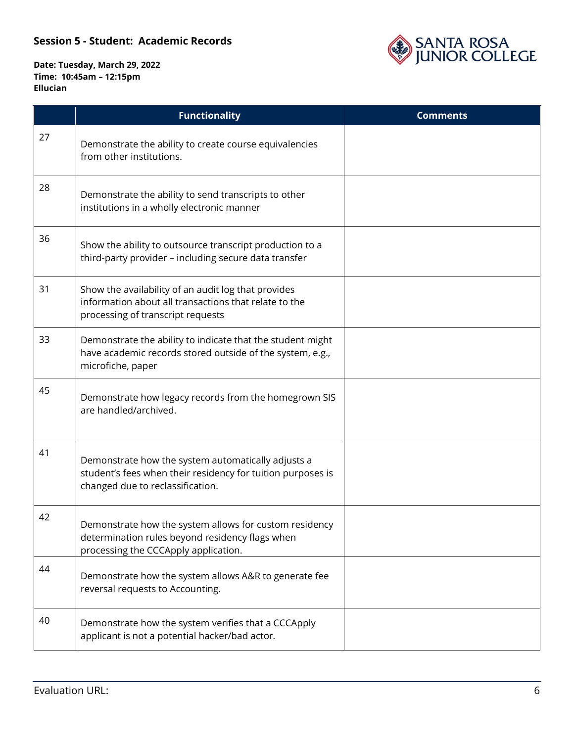

|    | <b>Functionality</b>                                                                                                                                  | <b>Comments</b> |
|----|-------------------------------------------------------------------------------------------------------------------------------------------------------|-----------------|
| 27 | Demonstrate the ability to create course equivalencies<br>from other institutions.                                                                    |                 |
| 28 | Demonstrate the ability to send transcripts to other<br>institutions in a wholly electronic manner                                                    |                 |
| 36 | Show the ability to outsource transcript production to a<br>third-party provider - including secure data transfer                                     |                 |
| 31 | Show the availability of an audit log that provides<br>information about all transactions that relate to the<br>processing of transcript requests     |                 |
| 33 | Demonstrate the ability to indicate that the student might<br>have academic records stored outside of the system, e.g.,<br>microfiche, paper          |                 |
| 45 | Demonstrate how legacy records from the homegrown SIS<br>are handled/archived.                                                                        |                 |
| 41 | Demonstrate how the system automatically adjusts a<br>student's fees when their residency for tuition purposes is<br>changed due to reclassification. |                 |
| 42 | Demonstrate how the system allows for custom residency<br>determination rules beyond residency flags when<br>processing the CCCApply application.     |                 |
| 44 | Demonstrate how the system allows A&R to generate fee<br>reversal requests to Accounting.                                                             |                 |
| 40 | Demonstrate how the system verifies that a CCCApply<br>applicant is not a potential hacker/bad actor.                                                 |                 |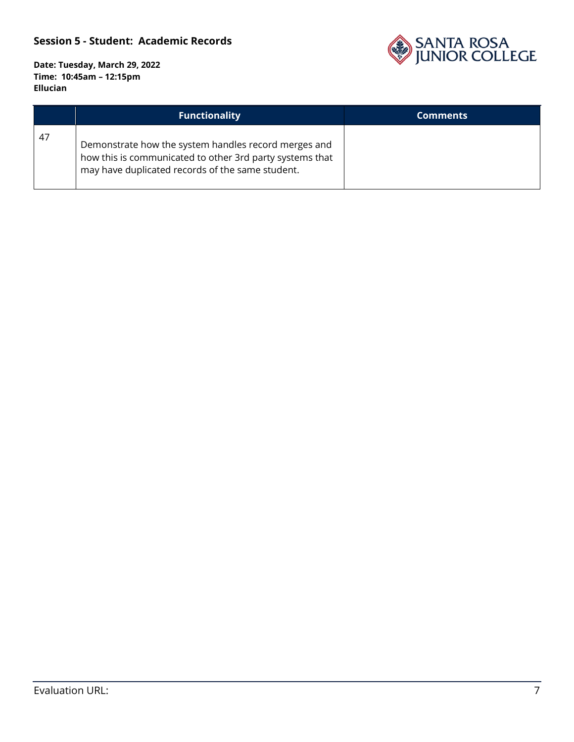

|    | <b>Functionality</b>                                                                                                                                                 | <b>Comments</b> |
|----|----------------------------------------------------------------------------------------------------------------------------------------------------------------------|-----------------|
| 47 | Demonstrate how the system handles record merges and<br>how this is communicated to other 3rd party systems that<br>may have duplicated records of the same student. |                 |